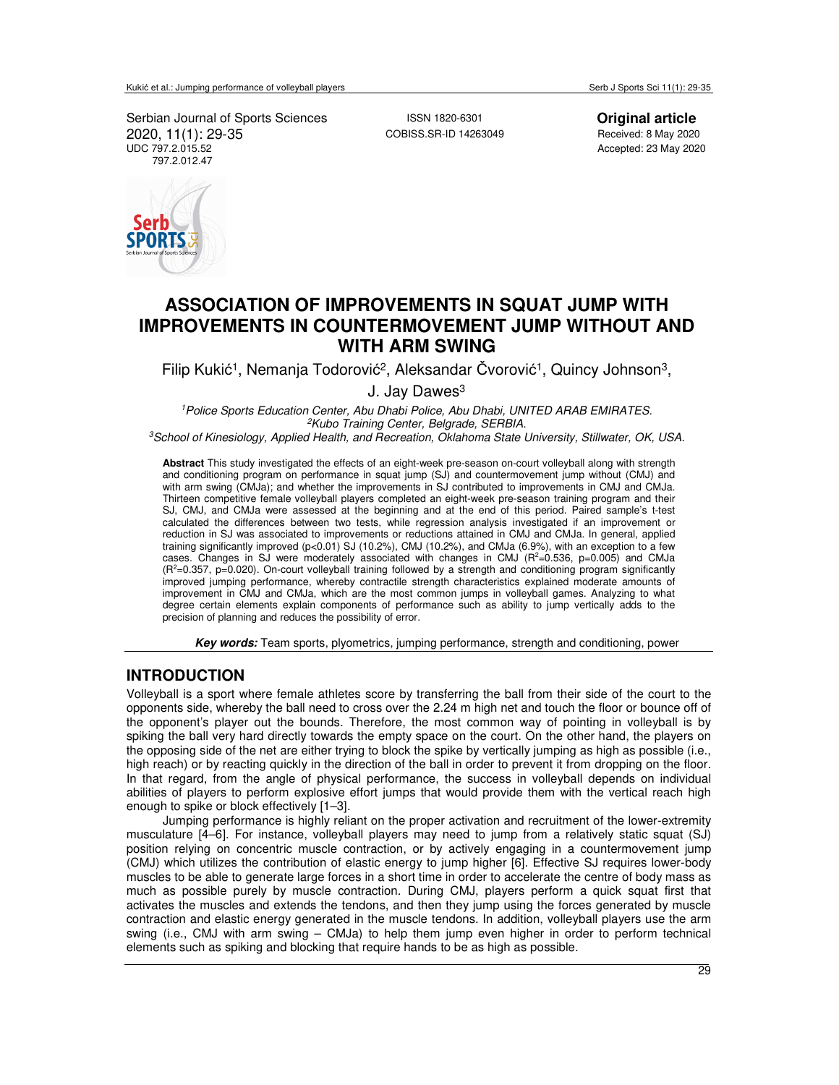Serbian Journal of Sports Sciences<br>
2020, 11(1): 29-35<br>
2020, 11(1): 29-35<br>
2020 2020, 11(1): 29-35<br>UDC 797.2.015.52 797.2.012.47

ORTS

Accepted: 23 May 2020

# **ASSOCIATION OF IMPROVEMENTS IN SQUAT JUMP WITH IMPROVEMENTS IN COUNTERMOVEMENT JUMP WITHOUT AND WITH ARM SWING**

Filip Kukić<sup>1</sup>, Nemanja Todorović<sup>2</sup>, Aleksandar Čvorović<sup>1</sup>, Quincy Johnson<sup>3</sup>,

J. Jay Dawes<sup>3</sup>

*<sup>1</sup>Police Sports Education Center, Abu Dhabi Police, Abu Dhabi, UNITED ARAB EMIRATES. <sup>2</sup>Kubo Training Center, Belgrade, SERBIA.* 

*<sup>3</sup>School of Kinesiology, Applied Health, and Recreation, Oklahoma State University, Stillwater, OK, USA.*

**Abstract** This study investigated the effects of an eight-week pre-season on-court volleyball along with strength and conditioning program on performance in squat jump (SJ) and countermovement jump without (CMJ) and with arm swing (CMJa); and whether the improvements in SJ contributed to improvements in CMJ and CMJa. Thirteen competitive female volleyball players completed an eight-week pre-season training program and their SJ, CMJ, and CMJa were assessed at the beginning and at the end of this period. Paired sample's t-test calculated the differences between two tests, while regression analysis investigated if an improvement or reduction in SJ was associated to improvements or reductions attained in CMJ and CMJa. In general, applied training significantly improved (p<0.01) SJ (10.2%), CMJ (10.2%), and CMJa (6.9%), with an exception to a few cases. Changes in SJ were moderately associated with changes in CMJ  $(R^2=0.536, p=0.005)$  and CMJa (R<sup>2</sup>=0.357, p=0.020). On-court volleyball training followed by a strength and conditioning program significantly improved jumping performance, whereby contractile strength characteristics explained moderate amounts of improvement in CMJ and CMJa, which are the most common jumps in volleyball games. Analyzing to what degree certain elements explain components of performance such as ability to jump vertically adds to the precision of planning and reduces the possibility of error.

**Key words:** Team sports, plyometrics, jumping performance, strength and conditioning, power

## **INTRODUCTION**

Volleyball is a sport where female athletes score by transferring the ball from their side of the court to the opponents side, whereby the ball need to cross over the 2.24 m high net and touch the floor or bounce off of the opponent's player out the bounds. Therefore, the most common way of pointing in volleyball is by spiking the ball very hard directly towards the empty space on the court. On the other hand, the players on the opposing side of the net are either trying to block the spike by vertically jumping as high as possible (i.e., high reach) or by reacting quickly in the direction of the ball in order to prevent it from dropping on the floor. In that regard, from the angle of physical performance, the success in volleyball depends on individual abilities of players to perform explosive effort jumps that would provide them with the vertical reach high enough to spike or block effectively [1–3].

Jumping performance is highly reliant on the proper activation and recruitment of the lower-extremity musculature [4–6]. For instance, volleyball players may need to jump from a relatively static squat (SJ) position relying on concentric muscle contraction, or by actively engaging in a countermovement jump (CMJ) which utilizes the contribution of elastic energy to jump higher [6]. Effective SJ requires lower-body muscles to be able to generate large forces in a short time in order to accelerate the centre of body mass as much as possible purely by muscle contraction. During CMJ, players perform a quick squat first that activates the muscles and extends the tendons, and then they jump using the forces generated by muscle contraction and elastic energy generated in the muscle tendons. In addition, volleyball players use the arm swing (i.e., CMJ with arm swing – CMJa) to help them jump even higher in order to perform technical elements such as spiking and blocking that require hands to be as high as possible.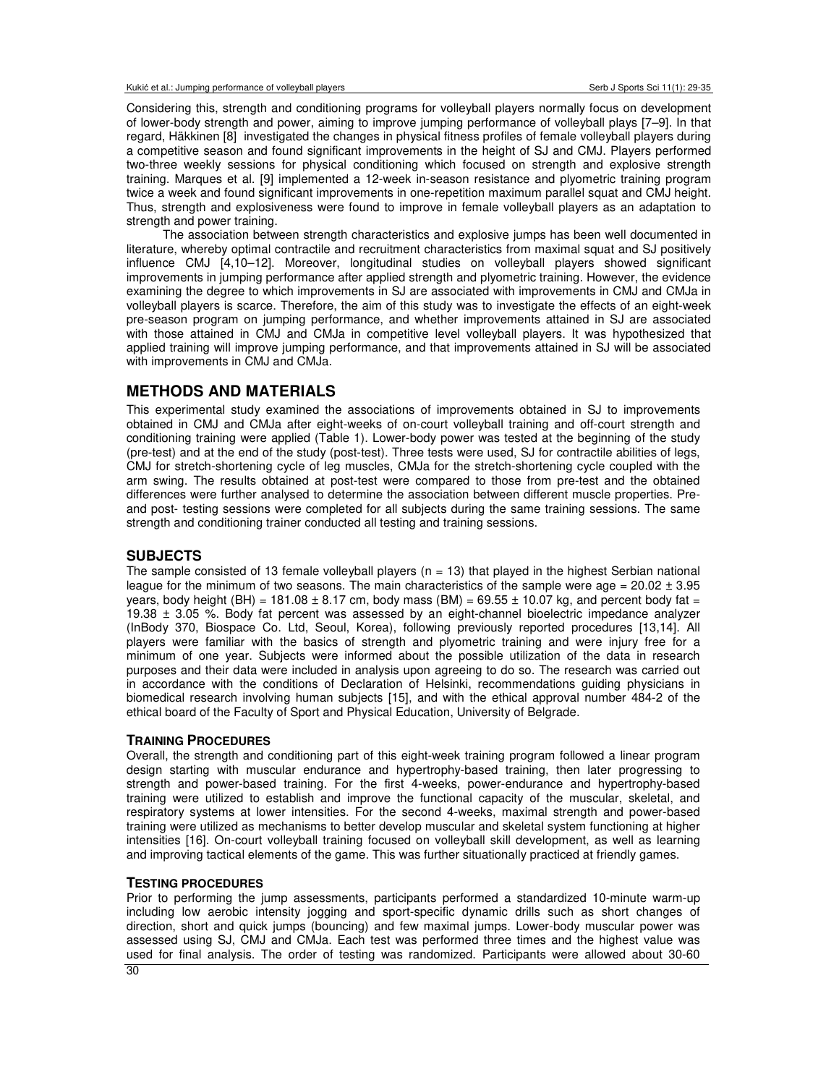Considering this, strength and conditioning programs for volleyball players normally focus on development of lower-body strength and power, aiming to improve jumping performance of volleyball plays [7–9]. In that regard, Häkkinen [8] investigated the changes in physical fitness profiles of female volleyball players during a competitive season and found significant improvements in the height of SJ and CMJ. Players performed two-three weekly sessions for physical conditioning which focused on strength and explosive strength training. Marques et al. [9] implemented a 12-week in-season resistance and plyometric training program twice a week and found significant improvements in one-repetition maximum parallel squat and CMJ height. Thus, strength and explosiveness were found to improve in female volleyball players as an adaptation to strength and power training.

The association between strength characteristics and explosive jumps has been well documented in literature, whereby optimal contractile and recruitment characteristics from maximal squat and SJ positively influence CMJ [4,10–12]. Moreover, longitudinal studies on volleyball players showed significant improvements in jumping performance after applied strength and plyometric training. However, the evidence examining the degree to which improvements in SJ are associated with improvements in CMJ and CMJa in volleyball players is scarce. Therefore, the aim of this study was to investigate the effects of an eight-week pre-season program on jumping performance, and whether improvements attained in SJ are associated with those attained in CMJ and CMJa in competitive level volleyball players. It was hypothesized that applied training will improve jumping performance, and that improvements attained in SJ will be associated with improvements in CMJ and CMJa.

### **METHODS AND MATERIALS**

This experimental study examined the associations of improvements obtained in SJ to improvements obtained in CMJ and CMJa after eight-weeks of on-court volleyball training and off-court strength and conditioning training were applied (Table 1). Lower-body power was tested at the beginning of the study (pre-test) and at the end of the study (post-test). Three tests were used, SJ for contractile abilities of legs, CMJ for stretch-shortening cycle of leg muscles, CMJa for the stretch-shortening cycle coupled with the arm swing. The results obtained at post-test were compared to those from pre-test and the obtained differences were further analysed to determine the association between different muscle properties. Preand post- testing sessions were completed for all subjects during the same training sessions. The same strength and conditioning trainer conducted all testing and training sessions.

### **SUBJECTS**

The sample consisted of 13 female volleyball players ( $n = 13$ ) that played in the highest Serbian national league for the minimum of two seasons. The main characteristics of the sample were age =  $20.02 \pm 3.95$ years, body height (BH) = 181.08  $\pm$  8.17 cm, body mass (BM) = 69.55  $\pm$  10.07 kg, and percent body fat = 19.38 ± 3.05 %. Body fat percent was assessed by an eight-channel bioelectric impedance analyzer (InBody 370, Biospace Co. Ltd, Seoul, Korea), following previously reported procedures [13,14]. All players were familiar with the basics of strength and plyometric training and were injury free for a minimum of one year. Subjects were informed about the possible utilization of the data in research purposes and their data were included in analysis upon agreeing to do so. The research was carried out in accordance with the conditions of Declaration of Helsinki, recommendations guiding physicians in biomedical research involving human subjects [15], and with the ethical approval number 484-2 of the ethical board of the Faculty of Sport and Physical Education, University of Belgrade.

#### **TRAINING PROCEDURES**

Overall, the strength and conditioning part of this eight-week training program followed a linear program design starting with muscular endurance and hypertrophy-based training, then later progressing to strength and power-based training. For the first 4-weeks, power-endurance and hypertrophy-based training were utilized to establish and improve the functional capacity of the muscular, skeletal, and respiratory systems at lower intensities. For the second 4-weeks, maximal strength and power-based training were utilized as mechanisms to better develop muscular and skeletal system functioning at higher intensities [16]. On-court volleyball training focused on volleyball skill development, as well as learning and improving tactical elements of the game. This was further situationally practiced at friendly games.

#### **TESTING PROCEDURES**

Prior to performing the jump assessments, participants performed a standardized 10-minute warm-up including low aerobic intensity jogging and sport-specific dynamic drills such as short changes of direction, short and quick jumps (bouncing) and few maximal jumps. Lower-body muscular power was assessed using SJ, CMJ and CMJa. Each test was performed three times and the highest value was used for final analysis. The order of testing was randomized. Participants were allowed about 30-60

30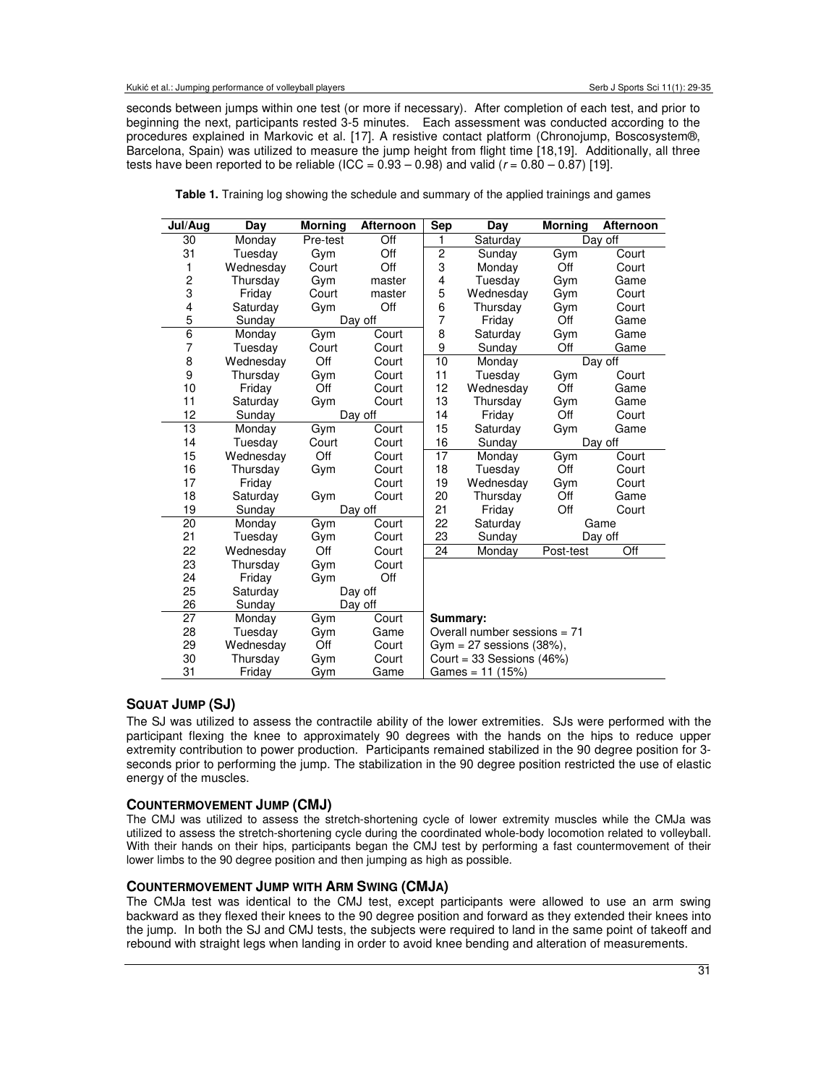seconds between jumps within one test (or more if necessary). After completion of each test, and prior to beginning the next, participants rested 3-5 minutes. Each assessment was conducted according to the procedures explained in Markovic et al. [17]. A resistive contact platform (Chronojump, Boscosystem®, Barcelona, Spain) was utilized to measure the jump height from flight time [18,19]. Additionally, all three tests have been reported to be reliable (ICC =  $0.93 - 0.98$ ) and valid ( $r = 0.80 - 0.87$ ) [19].

| Jul/Aug                 | Day       | <b>Morning</b> | <b>Afternoon</b> | <b>Sep</b>                     | Day                            | <b>Morning</b> | Afternoon |  |
|-------------------------|-----------|----------------|------------------|--------------------------------|--------------------------------|----------------|-----------|--|
| 30                      | Monday    | Pre-test       | Off              | 1                              | Saturday                       | Day off        |           |  |
| 31                      | Tuesday   | Gym            | Off              | $\overline{c}$                 | Sunday                         | Gym            | Court     |  |
| 1                       | Wednesday | Court          | Off              | 3                              | Monday                         | Off            | Court     |  |
| $\overline{\mathbf{c}}$ | Thursday  | Gym            | master           | 4                              | Tuesday                        | Gym            | Game      |  |
| 3                       | Friday    | Court          | master           | 5                              | Wednesday                      | Gym            | Court     |  |
| $\overline{\mathbf{4}}$ | Saturday  | Gym            | Off              | 6                              | Thursday                       | Gym            | Court     |  |
| $\overline{5}$          | Sunday    |                | Day off          | $\overline{7}$                 | Friday                         | Off            | Game      |  |
| 6                       | Monday    | Gym            | Court            | 8                              | Saturday                       | Gym            | Game      |  |
| 7                       | Tuesday   | Court          | Court            | 9                              | Sunday                         | Off            | Game      |  |
| 8                       | Wednesday | Off            | Court            | 10                             | Monday                         |                | Day off   |  |
| 9                       | Thursday  | Gym            | Court            | 11                             | Tuesdav                        | Gym            | Court     |  |
| 10                      | Friday    | Off            | Court            | 12                             | Wednesday                      | Off            | Game      |  |
| 11                      | Saturday  | Gym            | Court            | 13                             | Thursday                       | Gym            | Game      |  |
| 12                      | Sunday    |                | Day off          | 14                             | Friday                         | Off            | Court     |  |
| 13                      | Monday    | Gym            | Court            | 15                             | Saturday                       | Gym            | Game      |  |
| 14                      | Tuesday   | Court          | Court            | 16                             | Sunday                         | Day off        |           |  |
| 15                      | Wednesday | Off            | Court            | 17                             | Monday                         | Gym            | Court     |  |
| 16                      | Thursday  | Gym            | Court            | 18                             | Tuesday                        | Off            | Court     |  |
| 17                      | Friday    |                | Court            | 19                             | Wednesday                      | Gym            | Court     |  |
| 18                      | Saturday  | Gym            | Court            | 20                             | Thursday                       | Off            | Game      |  |
| 19                      | Sunday    |                | Day off          | 21                             | Friday                         | Off<br>Court   |           |  |
| 20                      | Monday    | Gym            | Court            | 22                             | Saturday                       |                | Game      |  |
| 21                      | Tuesday   | Gym            | Court            | 23                             | Sunday                         |                | Day off   |  |
| 22                      | Wednesday | Off            | Court            | 24                             | Monday                         | Post-test      | Off       |  |
| 23                      | Thursday  | Gym            | Court            |                                |                                |                |           |  |
| 24                      | Friday    | Gym            | Off              |                                |                                |                |           |  |
| 25                      | Saturday  | Day off        |                  |                                |                                |                |           |  |
| 26                      | Sunday    |                | Day off          |                                |                                |                |           |  |
| 27                      | Monday    | Gym            | Court            | Summary:                       |                                |                |           |  |
| 28                      | Tuesdav   | Gym            | Game             |                                | Overall number sessions $= 71$ |                |           |  |
| 29                      | Wednesday | Off            | Court            | Gym = $27$ sessions $(38\%)$ , |                                |                |           |  |
| 30                      | Thursday  | Gym            | Court            | Court = $33$ Sessions (46%)    |                                |                |           |  |
| 31                      | Friday    | Gym            | Game             |                                | Games = $11$ (15%)             |                |           |  |

**Table 1.** Training log showing the schedule and summary of the applied trainings and games

### **SQUAT JUMP (SJ)**

The SJ was utilized to assess the contractile ability of the lower extremities. SJs were performed with the participant flexing the knee to approximately 90 degrees with the hands on the hips to reduce upper extremity contribution to power production. Participants remained stabilized in the 90 degree position for 3 seconds prior to performing the jump. The stabilization in the 90 degree position restricted the use of elastic energy of the muscles.

### **COUNTERMOVEMENT JUMP (CMJ)**

The CMJ was utilized to assess the stretch-shortening cycle of lower extremity muscles while the CMJa was utilized to assess the stretch-shortening cycle during the coordinated whole-body locomotion related to volleyball. With their hands on their hips, participants began the CMJ test by performing a fast countermovement of their lower limbs to the 90 degree position and then jumping as high as possible.

#### **COUNTERMOVEMENT JUMP WITH ARM SWING (CMJA)**

The CMJa test was identical to the CMJ test, except participants were allowed to use an arm swing backward as they flexed their knees to the 90 degree position and forward as they extended their knees into the jump. In both the SJ and CMJ tests, the subjects were required to land in the same point of takeoff and rebound with straight legs when landing in order to avoid knee bending and alteration of measurements.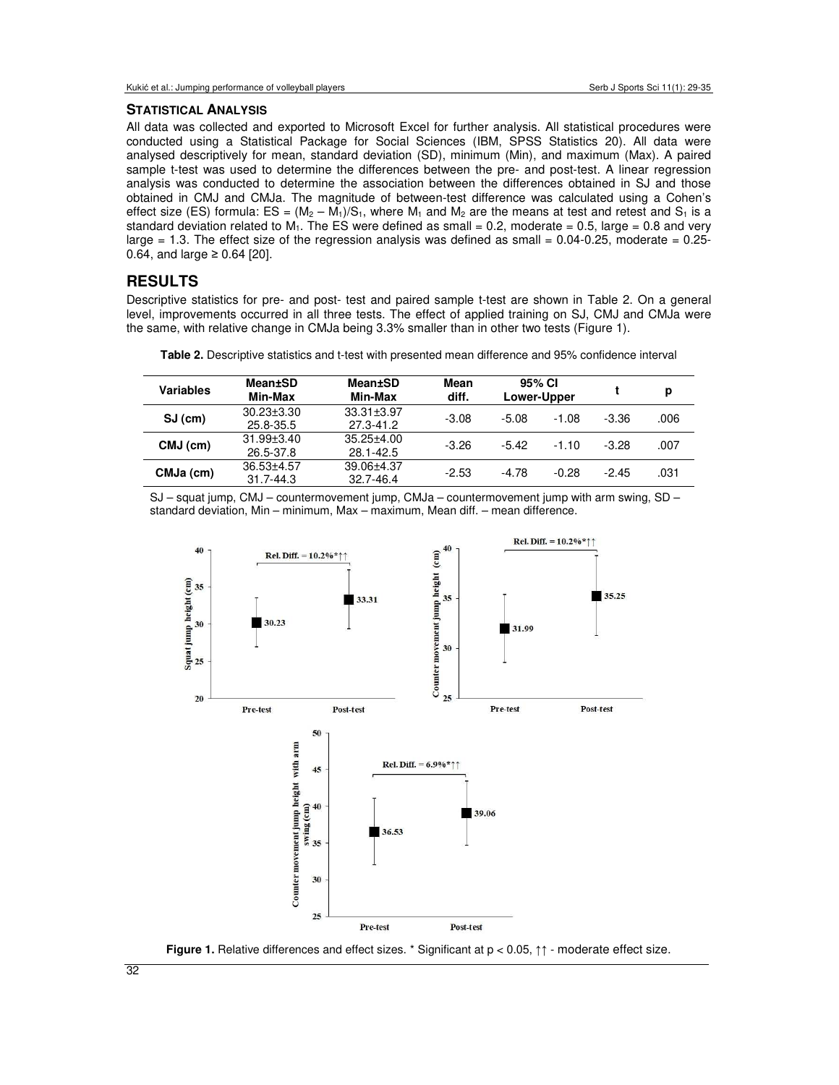#### **STATISTICAL ANALYSIS**

All data was collected and exported to Microsoft Excel for further analysis. All statistical procedures were conducted using a Statistical Package for Social Sciences (IBM, SPSS Statistics 20). All data were analysed descriptively for mean, standard deviation (SD), minimum (Min), and maximum (Max). A paired sample t-test was used to determine the differences between the pre- and post-test. A linear regression analysis was conducted to determine the association between the differences obtained in SJ and those obtained in CMJ and CMJa. The magnitude of between-test difference was calculated using a Cohen's effect size (ES) formula:  $ES = (M_2 - M_1)/S_1$ , where  $M_1$  and  $M_2$  are the means at test and retest and  $S_1$  is a standard deviation related to  $M_1$ . The ES were defined as small = 0.2, moderate = 0.5, large = 0.8 and very large = 1.3. The effect size of the regression analysis was defined as small =  $0.04 - 0.25$ , moderate =  $0.25$ -0.64, and large ≥ 0.64 [20].

### **RESULTS**

Descriptive statistics for pre- and post- test and paired sample t-test are shown in Table 2. On a general level, improvements occurred in all three tests. The effect of applied training on SJ, CMJ and CMJa were the same, with relative change in CMJa being 3.3% smaller than in other two tests (Figure 1).

| Variables  | Mean±SD<br>Min-Max              | Mean±SD<br>Min-Max            | Mean<br>diff. | 95% CI<br>Lower-Upper |         |         | р    |
|------------|---------------------------------|-------------------------------|---------------|-----------------------|---------|---------|------|
| $SJ$ (cm)  | $30.23 \pm 3.30$<br>25.8-35.5   | $33.31 + 3.97$<br>27.3-41.2   | $-3.08$       | $-5.08$               | $-1.08$ | $-3.36$ | .006 |
| $CMJ$ (cm) | $31.99 \pm 3.40$<br>26.5-37.8   | $35.25 \pm 4.00$<br>28.1-42.5 | $-3.26$       | $-5.42$               | $-1.10$ | $-3.28$ | .007 |
| CMJa (cm)  | $36.53 + 4.57$<br>$31.7 - 44.3$ | 39.06+4.37<br>32.7-46.4       | $-2.53$       | $-4.78$               | $-0.28$ | $-2.45$ | .031 |

**Table 2.** Descriptive statistics and t-test with presented mean difference and 95% confidence interval

SJ – squat jump, CMJ – countermovement jump, CMJa – countermovement jump with arm swing, SD – standard deviation, Min – minimum, Max – maximum, Mean diff. – mean difference.





32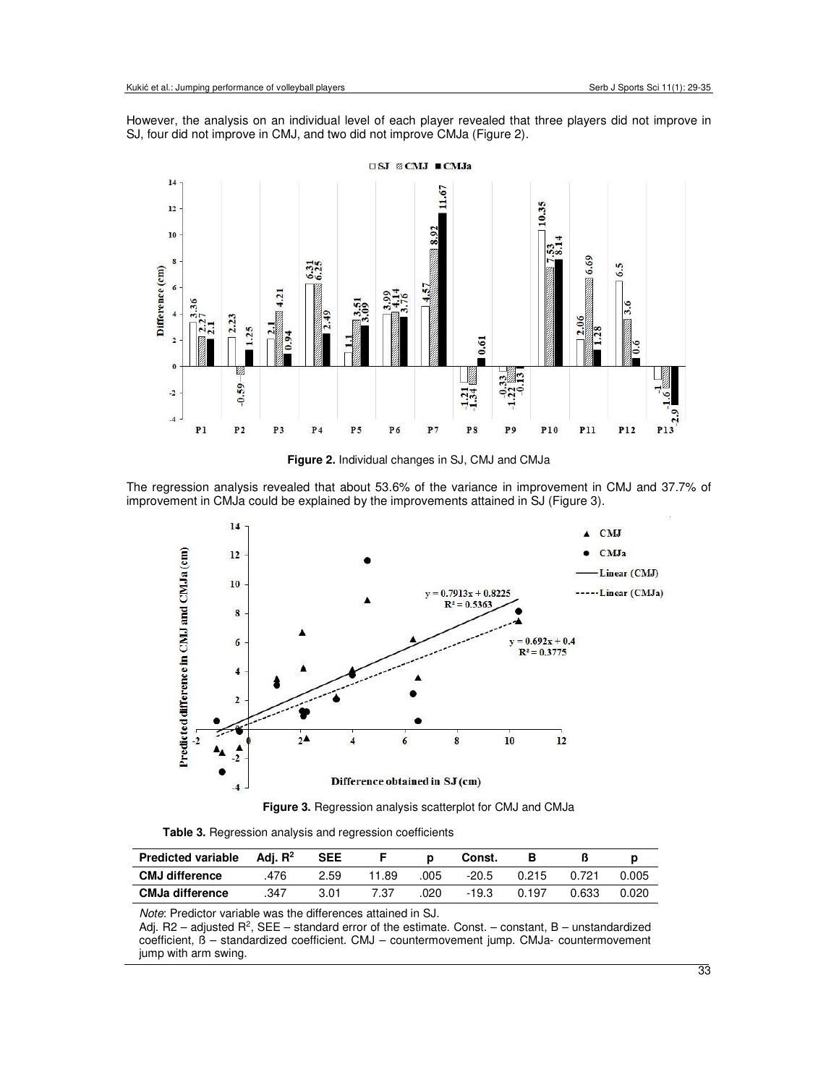However, the analysis on an individual level of each player revealed that three players did not improve in SJ, four did not improve in CMJ, and two did not improve CMJa (Figure 2).



**Figure 2.** Individual changes in SJ, CMJ and CMJa

The regression analysis revealed that about 53.6% of the variance in improvement in CMJ and 37.7% of improvement in CMJa could be explained by the improvements attained in SJ (Figure 3).





**Table 3.** Regression analysis and regression coefficients

| <b>Predicted variable</b> | Adi. $R^2$ | <b>SEE</b> |       |      | Const.  |       |       |       |
|---------------------------|------------|------------|-------|------|---------|-------|-------|-------|
| <b>CMJ difference</b>     | 476        | 2.59       | 11.89 | .005 | $-20.5$ | 0.215 | 0.721 | 0.005 |
| <b>CMJa difference</b>    | 347        | 3.01       | 7.37  | .020 | -19.3   | 0.197 | 0.633 | ባ.020 |

*Note*: Predictor variable was the differences attained in SJ.

Adj. R2 – adjusted  $R^2$ , SEE – standard error of the estimate. Const. – constant, B – unstandardized coefficient, ß – standardized coefficient. CMJ – countermovement jump. CMJa- countermovement jump with arm swing.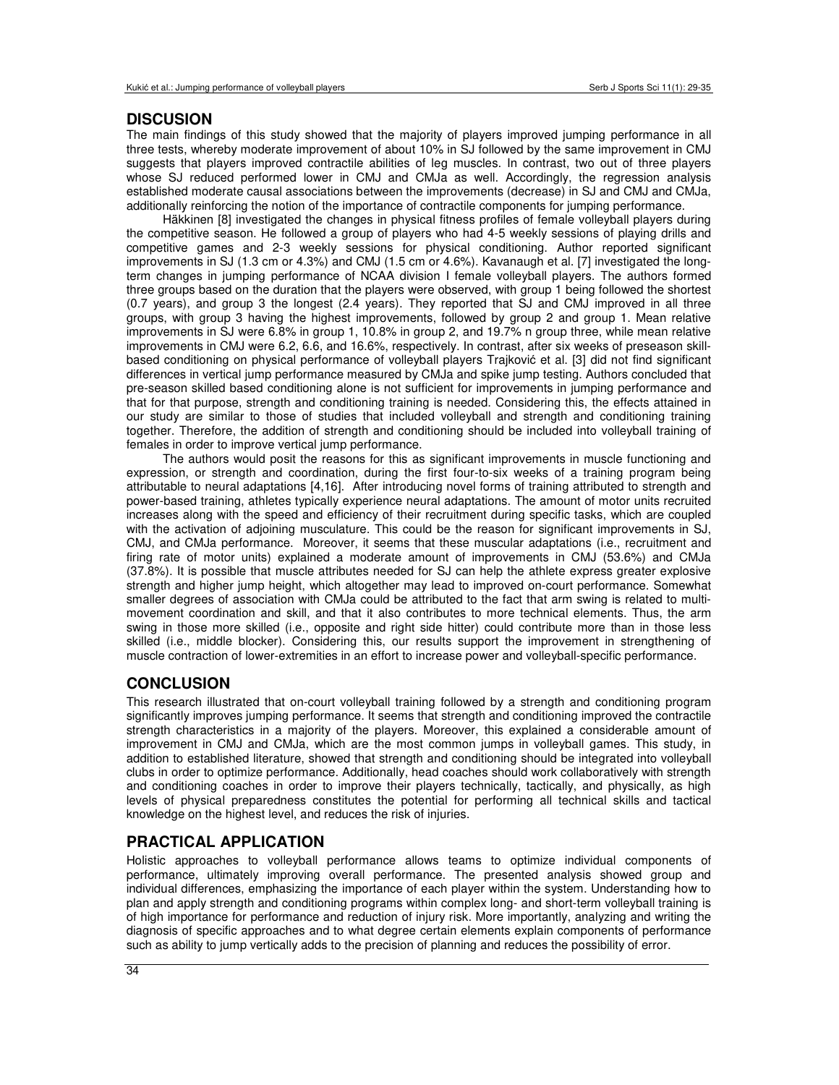### **DISCUSION**

The main findings of this study showed that the majority of players improved jumping performance in all three tests, whereby moderate improvement of about 10% in SJ followed by the same improvement in CMJ suggests that players improved contractile abilities of leg muscles. In contrast, two out of three players whose SJ reduced performed lower in CMJ and CMJa as well. Accordingly, the regression analysis established moderate causal associations between the improvements (decrease) in SJ and CMJ and CMJa, additionally reinforcing the notion of the importance of contractile components for jumping performance.

Häkkinen [8] investigated the changes in physical fitness profiles of female volleyball players during the competitive season. He followed a group of players who had 4-5 weekly sessions of playing drills and competitive games and 2-3 weekly sessions for physical conditioning. Author reported significant improvements in SJ (1.3 cm or 4.3%) and CMJ (1.5 cm or 4.6%). Kavanaugh et al. [7] investigated the longterm changes in jumping performance of NCAA division I female volleyball players. The authors formed three groups based on the duration that the players were observed, with group 1 being followed the shortest (0.7 years), and group 3 the longest (2.4 years). They reported that SJ and CMJ improved in all three groups, with group 3 having the highest improvements, followed by group 2 and group 1. Mean relative improvements in SJ were 6.8% in group 1, 10.8% in group 2, and 19.7% n group three, while mean relative improvements in CMJ were 6.2, 6.6, and 16.6%, respectively. In contrast, after six weeks of preseason skillbased conditioning on physical performance of volleyball players Trajković et al. [3] did not find significant differences in vertical jump performance measured by CMJa and spike jump testing. Authors concluded that pre-season skilled based conditioning alone is not sufficient for improvements in jumping performance and that for that purpose, strength and conditioning training is needed. Considering this, the effects attained in our study are similar to those of studies that included volleyball and strength and conditioning training together. Therefore, the addition of strength and conditioning should be included into volleyball training of females in order to improve vertical jump performance.

The authors would posit the reasons for this as significant improvements in muscle functioning and expression, or strength and coordination, during the first four-to-six weeks of a training program being attributable to neural adaptations [4,16]. After introducing novel forms of training attributed to strength and power-based training, athletes typically experience neural adaptations. The amount of motor units recruited increases along with the speed and efficiency of their recruitment during specific tasks, which are coupled with the activation of adjoining musculature. This could be the reason for significant improvements in SJ, CMJ, and CMJa performance. Moreover, it seems that these muscular adaptations (i.e., recruitment and firing rate of motor units) explained a moderate amount of improvements in CMJ (53.6%) and CMJa (37.8%). It is possible that muscle attributes needed for SJ can help the athlete express greater explosive strength and higher jump height, which altogether may lead to improved on-court performance. Somewhat smaller degrees of association with CMJa could be attributed to the fact that arm swing is related to multimovement coordination and skill, and that it also contributes to more technical elements. Thus, the arm swing in those more skilled (i.e., opposite and right side hitter) could contribute more than in those less skilled (i.e., middle blocker). Considering this, our results support the improvement in strengthening of muscle contraction of lower-extremities in an effort to increase power and volleyball-specific performance.

### **CONCLUSION**

This research illustrated that on-court volleyball training followed by a strength and conditioning program significantly improves jumping performance. It seems that strength and conditioning improved the contractile strength characteristics in a majority of the players. Moreover, this explained a considerable amount of improvement in CMJ and CMJa, which are the most common jumps in volleyball games. This study, in addition to established literature, showed that strength and conditioning should be integrated into volleyball clubs in order to optimize performance. Additionally, head coaches should work collaboratively with strength and conditioning coaches in order to improve their players technically, tactically, and physically, as high levels of physical preparedness constitutes the potential for performing all technical skills and tactical knowledge on the highest level, and reduces the risk of injuries.

### **PRACTICAL APPLICATION**

Holistic approaches to volleyball performance allows teams to optimize individual components of performance, ultimately improving overall performance. The presented analysis showed group and individual differences, emphasizing the importance of each player within the system. Understanding how to plan and apply strength and conditioning programs within complex long- and short-term volleyball training is of high importance for performance and reduction of injury risk. More importantly, analyzing and writing the diagnosis of specific approaches and to what degree certain elements explain components of performance such as ability to jump vertically adds to the precision of planning and reduces the possibility of error.